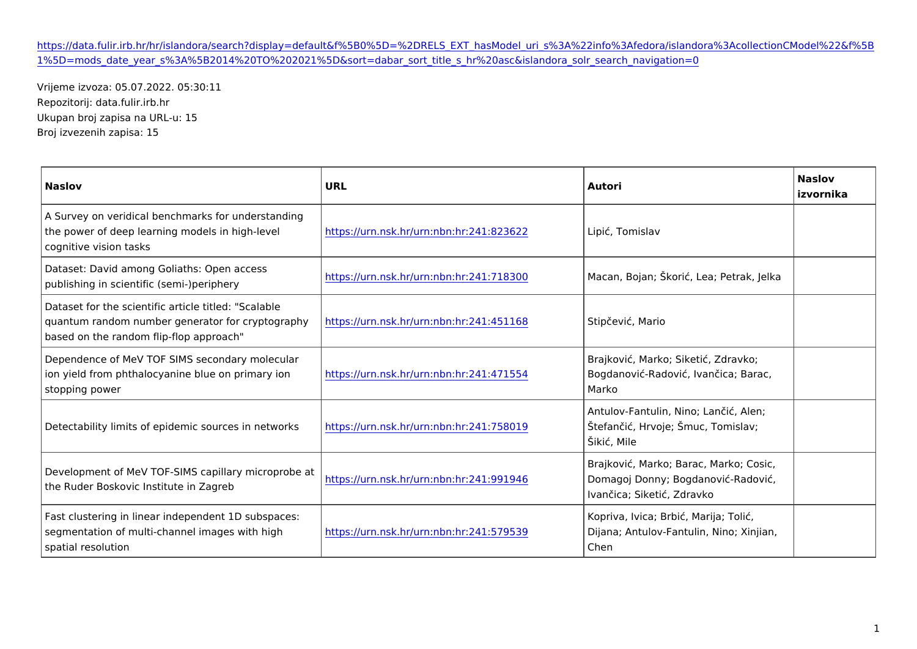## [https://data.fulir.irb.hr/hr/islandora/search?display=default&f%5B0%5D=%2DRELS\\_EXT\\_hasModel\\_uri\\_s%3A%22info%3Af](https://data.fulir.irb.hr/hr/islandora/search?display=default&f[0]=-RELS_EXT_hasModel_uri_s:"info:fedora/islandora:collectionCModel"&f[1]=mods_date_year_s:[2014 TO 2021]&sort=dabar_sort_title_s_hr asc&islandora_solr_search_navigation=0)edora [1%5D=mods\\_date\\_year\\_s%3A%5B2014%20TO%202021%5D&sort=dabar\\_sort\\_title\\_s\\_hr%20asc&i](https://data.fulir.irb.hr/hr/islandora/search?display=default&f[0]=-RELS_EXT_hasModel_uri_s:"info:fedora/islandora:collectionCModel"&f[1]=mods_date_year_s:[2014 TO 2021]&sort=dabar_sort_title_s_hr asc&islandora_solr_search_navigation=0)slandora\_solr\_search\_navigation=0

Vrijeme izvoza: 05.07.2022. 05:30:11 Repozitorij: data.fulir.irb.hr Ukupan broj zapisa na URL-u: 15 Broj izvezenih zapisa: 15

| Naslov                                                                                                                                                                                                                | URL                                                                                                                 | Autori                                                              | Naslov<br>izvornika |
|-----------------------------------------------------------------------------------------------------------------------------------------------------------------------------------------------------------------------|---------------------------------------------------------------------------------------------------------------------|---------------------------------------------------------------------|---------------------|
| A Survey on veridical benchmarks for understanding<br>the power of deep learning models in h  <u>фhtŧþѣvé⁄lurn.nsk.hr/urn:nbn:hr</u> :241:823 <mark>d2</mark> βi , Tomislav<br>cognitive vision tasks                 |                                                                                                                     |                                                                     |                     |
| Dataset: David among Goliaths: Open access<br>publishing in scientific (semi–)peripher                                                                                                                                | <u>https://urn.nsk.hr/urn:nbn:hr</u> :241:718 <mark>3Ma</mark> can, Bojan; `kori , Lea; Pe <mark>trak, Jelka</mark> |                                                                     |                     |
| Dataset for the scientific article titled:   "Scalable<br>quantum random number generator for chttplosog t auprhynsk.hr/urn:nbn:hr:241:451 1S6t&p evi , Mario<br>based on the random flip-flop approach               |                                                                                                                     |                                                                     |                     |
| Dependence of MeV TOF SIMS secondarly molecular<br>ion yield from phthalocyanine blue on p <mark>rhimtasy//ounn.nsk.hr/urn:nbn:hr</mark> :241:471¦⊞5o4gdanovi –Radovi , Ivan ica¦ Barac,<br>stopping power            |                                                                                                                     | Brajkovi, Marko; Siketi, Zdravko;<br>Marko                          |                     |
| Detectability limits of epidemic sources hintpnet/worksnsk.hr/urn:nbn:hr:241:75801@fan i , Hrvoje; `muc, Tomislav;                                                                                                    |                                                                                                                     | Antulov-Fantulin, Nino; Lan i, Alen;<br>`iki , Mile                 |                     |
| Development of MeV TOF-SIMS capillary microprobe at hr/urn:nbn:hr:241:991 946magoj Donny; Bogdanovi - Radovi ,<br>the Ruder Boskovic Institute in Zagreb                                                              |                                                                                                                     | Brajkovi, Marko; Barac, Marko; Cosic,<br>Ivan ica; Siketi , Zdravko |                     |
| Fast clustering in linear independent 1D subspaces:<br>segmentation of multi-channel images w <mark>ihthtphsig/hurn.nsk.hr/urn:nbn:hr</mark> :241:579¦ÐGiŷana; Antulov-Fantulin, Ninþ; Xinjian,<br>spatial resolution |                                                                                                                     | Kopriva, Ivica; Brbi, Marija; Toli,<br>Chen                         |                     |